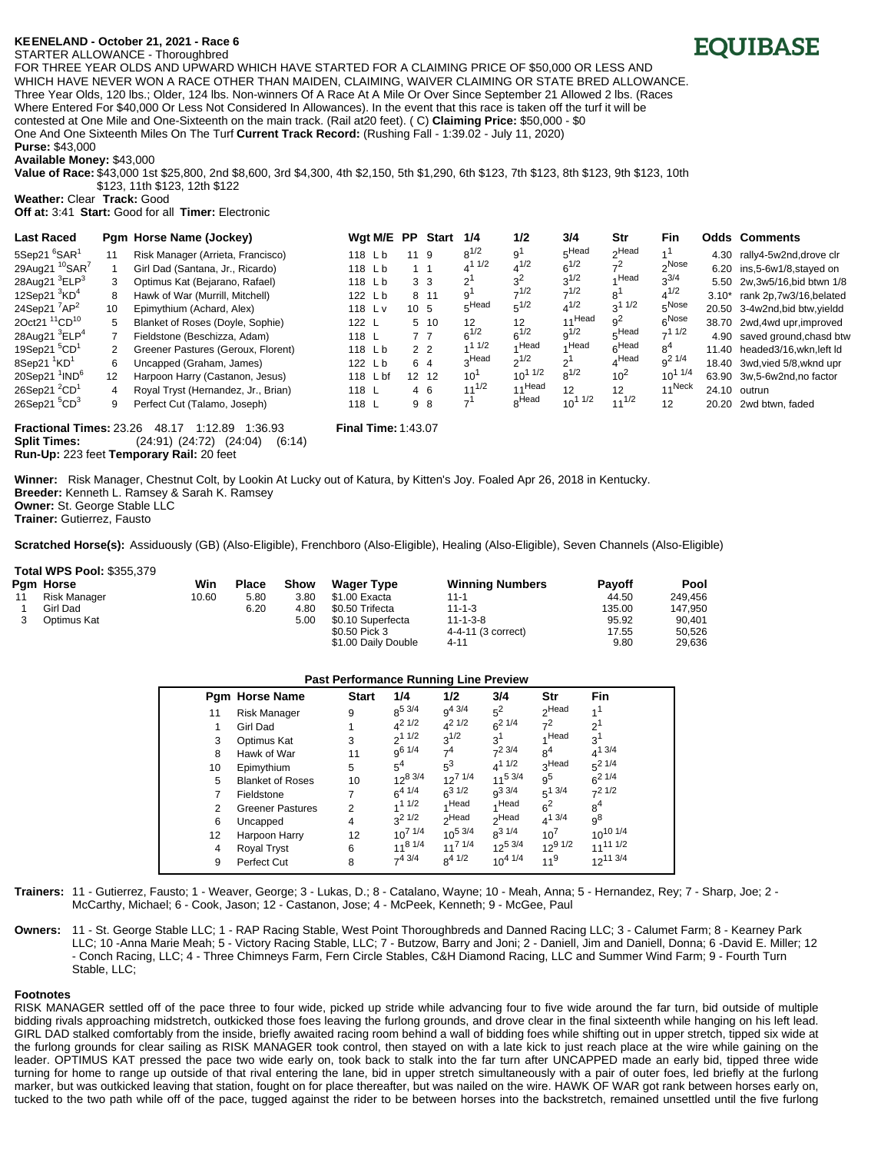# **KE\*ENELAND - October 21, 2021 - Race 6**

#### STARTER ALLOWANCE - Thoroughbred FOR THREE YEAR OLDS AND UPWARD WHICH HAVE STARTED FOR A CLAIMING PRICE OF \$50,000 OR LESS AND WHICH HAVE NEVER WON A RACE OTHER THAN MAIDEN, CLAIMING, WAIVER CLAIMING OR STATE BRED ALLOWANCE. Three Year Olds, 120 lbs.; Older, 124 lbs. Non-winners Of A Race At A Mile Or Over Since September 21 Allowed 2 lbs. (Races Where Entered For \$40,000 Or Less Not Considered In Allowances). In the event that this race is taken off the turf it will be contested at One Mile and One-Sixteenth on the main track. (Rail at20 feet). ( C) **Claiming Price:** \$50,000 - \$0 One And One Sixteenth Miles On The Turf **Current Track Record:** (Rushing Fall - 1:39.02 - July 11, 2020)

**Purse:** \$43,000 **Available Money:** \$43,000

**Value of Race:** \$43,000 1st \$25,800, 2nd \$8,600, 3rd \$4,300, 4th \$2,150, 5th \$1,290, 6th \$123, 7th \$123, 8th \$123, 9th \$123, 10th \$123, 11th \$123, 12th \$122

**Weather:** Clear **Track:** Good

**Off at:** 3:41 **Start:** Good for all **Timer:** Electronic

| <b>Last Raced</b>                      |    | Pgm Horse Name (Jockey)             | Wgt M/E PP |                 | Start          | 1/4                      | 1/2               | 3/4         | Str               | Fin                |         | <b>Odds Comments</b>           |
|----------------------------------------|----|-------------------------------------|------------|-----------------|----------------|--------------------------|-------------------|-------------|-------------------|--------------------|---------|--------------------------------|
| 5Sep21 <sup>6</sup> SAR <sup>1</sup>   | 11 | Risk Manager (Arrieta, Francisco)   | 118 Lb     | 11 9            |                | $8^{1/2}$                | ا و               | 5Head       | Head <sub>r</sub> |                    | 4.30    | rally4-5w2nd,drove clr         |
| 29Aug21 <sup>10</sup> SAR <sup>7</sup> |    | Girl Dad (Santana, Jr., Ricardo)    | 118 Lb     | $1 \quad 1$     |                | 1/2                      | $4^{1/2}$         | $6^{1/2}$   | $7^2$             | 2Nose              |         | 6.20 ins, 5-6w1/8, stayed on   |
| 28Aug21 <sup>3</sup> ELP <sup>3</sup>  | 3  | Optimus Kat (Bejarano, Rafael)      | 118 Lb     |                 | 3 <sub>3</sub> | $2^{\prime}$             |                   | $3^{1/2}$   | Head              | $3^{3/4}$          |         | 5.50 2w, 3w 5/16, bid btwn 1/8 |
| 12Sep21 $3$ KD <sup>4</sup>            | 8  | Hawk of War (Murrill, Mitchell)     | 122 Lb     |                 | 8 11           | 9                        | $-1/2$            | $7^{1/2}$   | 8                 | $4^{1/2}$          | $3.10*$ | rank 2p,7w3/16,belated         |
| 24Sep21 $^7$ AP <sup>2</sup>           | 10 | Epimythium (Achard, Alex)           | 118 Lv     | 10 <sub>5</sub> |                | $5$ Head                 | $5^{1/2}$         | $4^{1/2}$   | $3^{11/2}$        | $5^{Nose}$         |         | 20.50 3-4w2nd, bid btw, yieldd |
| 2Oct21 <sup>11</sup> CD <sup>10</sup>  | 5. | Blanket of Roses (Doyle, Sophie)    | 122 L      |                 | $5 \t10$       | $12 \overline{ }$        | 12                | 11Head      | $q^2$             | $6^{Nose}$         |         | 38.70 2wd,4wd upr, improved    |
| 28Aug21 <sup>3</sup> ELP <sup>4</sup>  |    | Fieldstone (Beschizza, Adam)        | 118 $L$    |                 | 77             | $6^{1/2}$                | $6^{1/2}$         | $q^{1/2}$   | $E$ Head          | $-11/2$            |         | 4.90 saved ground, chasd btw   |
| 19Sep21 <sup>5</sup> CD <sup>1</sup>   |    | Greener Pastures (Geroux, Florent)  | 118 Lb     |                 | 2 <sub>2</sub> | 11/2                     | AHead             | ⊿ Head      | 6Head             | 8 <sup>4</sup>     |         | 11.40 headed3/16, wkn, left ld |
| 8Sep21 ${}^{1}$ KD <sup>1</sup>        | 6  | Uncapped (Graham, James)            | 122 Lb     |                 | 6 4            | <sub>o</sub> Head        | $2^{1/2}$         | $2^1$       | $A$ Head          | $9^2$ 1/4          |         | 18.40 3wd, vied 5/8, wknd upr  |
| 20Sep21 $1^1$ IND <sup>6</sup>         | 12 | Harpoon Harry (Castanon, Jesus)     | 118 L bf   |                 | 12 12          | 10                       | $10^{11/2}$       | $8^{1/2}$   | 10 <sup>2</sup>   | $10^{11/4}$        |         | 63.90 3w,5-6w2nd,no factor     |
| 26Sep21 $^{2}CD^{1}$                   | 4  | Royal Tryst (Hernandez, Jr., Brian) | 118 L      |                 | 4 6            | $11^{1/2}$               | 11Head            | 12          | 12                | 11 <sup>Neck</sup> |         | 24.10 outrun                   |
| 26Sep21 <sup>5</sup> CD <sup>3</sup>   | 9  | Perfect Cut (Talamo, Joseph)        | 118 L      |                 | 98             | $\overline{\phantom{a}}$ | <sub>o</sub> Head | $10^{11/2}$ | $11^{1/2}$        | 12                 | 20.20   | 2wd btwn. faded                |

**Fractional Times:** 23.26 48.17 1:12.89 1:36.93 **Final Time:** 1:43.07 **Split Times:** (24:91) (24:72) (24:04) (6:14) **Run-Up:** 223 feet **Temporary Rail:** 20 feet

**Winner:** Risk Manager, Chestnut Colt, by Lookin At Lucky out of Katura, by Kitten's Joy. Foaled Apr 26, 2018 in Kentucky. **Breeder:** Kenneth L. Ramsey & Sarah K. Ramsey **Owner:** St. George Stable LLC

**Trainer:** Gutierrez, Fausto

**Scratched Horse(s):** Assiduously (GB) (Also-Eligible), Frenchboro (Also-Eligible), Healing (Also-Eligible), Seven Channels (Also-Eligible)

### **Total WPS Pool:** \$355,379

|    | Pam Horse           | Win   | <b>Place</b> | Show | <b>Wager Type</b>   | <b>Winning Numbers</b> | <b>Pavoff</b> | Pool    |
|----|---------------------|-------|--------------|------|---------------------|------------------------|---------------|---------|
| 11 | <b>Risk Manager</b> | 10.60 | 5.80         | 3.80 | \$1.00 Exacta       | $11 - 1$               | 44.50         | 249.456 |
|    | Girl Dad            |       | 6.20         | 4.80 | \$0.50 Trifecta     | $11 - 1 - 3$           | 135.00        | 147.950 |
|    | Optimus Kat         |       |              | 5.00 | \$0.10 Superfecta   | $11 - 1 - 3 - 8$       | 95.92         | 90.401  |
|    |                     |       |              |      | \$0.50 Pick 3       | 4-4-11 (3 correct)     | 17.55         | 50.526  |
|    |                     |       |              |      | \$1.00 Daily Double | $4 - 11$               | 9.80          | 29.636  |

### **Past Performance Running Line Preview**

**Trainers:** 11 - Gutierrez, Fausto; 1 - Weaver, George; 3 - Lukas, D.; 8 - Catalano, Wayne; 10 - Meah, Anna; 5 - Hernandez, Rey; 7 - Sharp, Joe; 2 - McCarthy, Michael; 6 - Cook, Jason; 12 - Castanon, Jose; 4 - McPeek, Kenneth; 9 - McGee, Paul

**Owners:** 11 - St. George Stable LLC; 1 - RAP Racing Stable, West Point Thoroughbreds and Danned Racing LLC; 3 - Calumet Farm; 8 - Kearney Park LLC; 10 -Anna Marie Meah; 5 - Victory Racing Stable, LLC; 7 - Butzow, Barry and Joni; 2 - Daniell, Jim and Daniell, Donna; 6 -David E. Miller; 12 - Conch Racing, LLC; 4 - Three Chimneys Farm, Fern Circle Stables, C&H Diamond Racing, LLC and Summer Wind Farm; 9 - Fourth Turn Stable, LLC;

## **Footnotes**

RISK MANAGER settled off of the pace three to four wide, picked up stride while advancing four to five wide around the far turn, bid outside of multiple bidding rivals approaching midstretch, outkicked those foes leaving the furlong grounds, and drove clear in the final sixteenth while hanging on his left lead. GIRL DAD stalked comfortably from the inside, briefly awaited racing room behind a wall of bidding foes while shifting out in upper stretch, tipped six wide at the furlong grounds for clear sailing as RISK MANAGER took control, then stayed on with a late kick to just reach place at the wire while gaining on the leader. OPTIMUS KAT pressed the pace two wide early on, took back to stalk into the far turn after UNCAPPED made an early bid, tipped three wide turning for home to range up outside of that rival entering the lane, bid in upper stretch simultaneously with a pair of outer foes, led briefly at the furlong marker, but was outkicked leaving that station, fought on for place thereafter, but was nailed on the wire. HAWK OF WAR got rank between horses early on, tucked to the two path while off of the pace, tugged against the rider to be between horses into the backstretch, remained unsettled until the five furlong